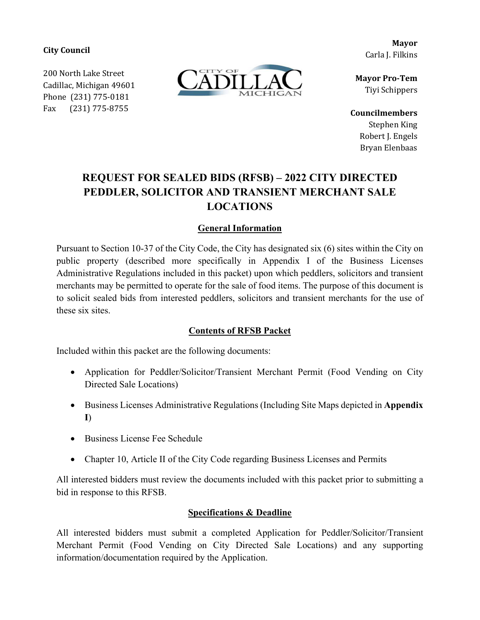**City Council**

200 North Lake Street Cadillac, Michigan 49601 Phone (231) 775-0181 Fax (231) 775-8755



**Mayor** Carla J. Filkins

**Mayor Pro‐Tem** Tiyi Schippers

**Councilmembers** Stephen King Robert J. Engels Bryan Elenbaas

# **REQUEST FOR SEALED BIDS (RFSB) – 2022 CITY DIRECTED PEDDLER, SOLICITOR AND TRANSIENT MERCHANT SALE LOCATIONS**

## **General Information**

Pursuant to Section 10-37 of the City Code, the City has designated six (6) sites within the City on public property (described more specifically in Appendix I of the Business Licenses Administrative Regulations included in this packet) upon which peddlers, solicitors and transient merchants may be permitted to operate for the sale of food items. The purpose of this document is to solicit sealed bids from interested peddlers, solicitors and transient merchants for the use of these six sites.

## **Contents of RFSB Packet**

Included within this packet are the following documents:

- Application for Peddler/Solicitor/Transient Merchant Permit (Food Vending on City Directed Sale Locations)
- Business Licenses Administrative Regulations (Including Site Maps depicted in **Appendix I**)
- Business License Fee Schedule
- Chapter 10, Article II of the City Code regarding Business Licenses and Permits

All interested bidders must review the documents included with this packet prior to submitting a bid in response to this RFSB.

## **Specifications & Deadline**

All interested bidders must submit a completed Application for Peddler/Solicitor/Transient Merchant Permit (Food Vending on City Directed Sale Locations) and any supporting information/documentation required by the Application.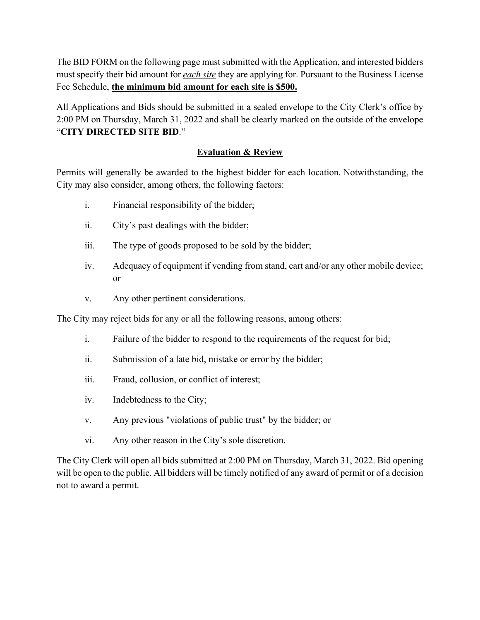The BID FORM on the following page must submitted with the Application, and interested bidders must specify their bid amount for *each site* they are applying for. Pursuant to the Business License Fee Schedule, **the minimum bid amount for each site is \$500.**

All Applications and Bids should be submitted in a sealed envelope to the City Clerk's office by 2:00 PM on Thursday, March 31, 2022 and shall be clearly marked on the outside of the envelope "**CITY DIRECTED SITE BID**."

#### **Evaluation & Review**

Permits will generally be awarded to the highest bidder for each location. Notwithstanding, the City may also consider, among others, the following factors:

- i. Financial responsibility of the bidder;
- ii. City's past dealings with the bidder;
- iii. The type of goods proposed to be sold by the bidder;
- iv. Adequacy of equipment if vending from stand, cart and/or any other mobile device; or
- v. Any other pertinent considerations.

The City may reject bids for any or all the following reasons, among others:

- i. Failure of the bidder to respond to the requirements of the request for bid;
- ii. Submission of a late bid, mistake or error by the bidder;
- iii. Fraud, collusion, or conflict of interest;
- iv. Indebtedness to the City;
- v. Any previous "violations of public trust" by the bidder; or
- vi. Any other reason in the City's sole discretion.

The City Clerk will open all bids submitted at 2:00 PM on Thursday, March 31, 2022. Bid opening will be open to the public. All bidders will be timely notified of any award of permit or of a decision not to award a permit.